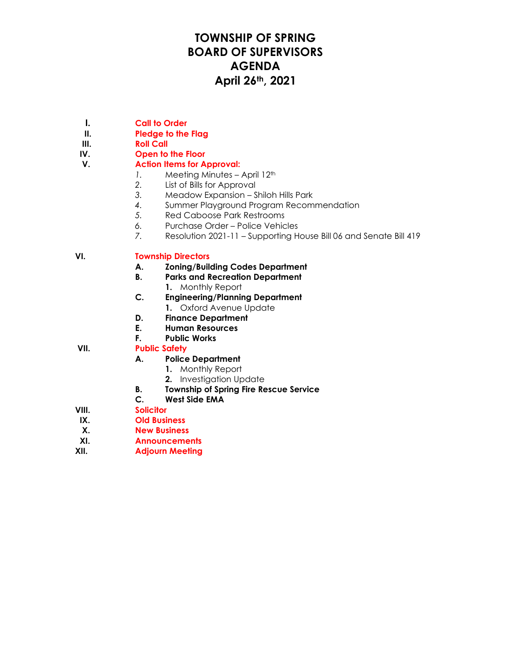## **TOWNSHIP OF SPRING BOARD OF SUPERVISORS AGENDA April 26th, 2021**

- **I. Call to Order**
- **II. Pledge to the Flag**
- **III. Roll Call**
- **IV. Open to the Floor**

#### **V. Action Items for Approval:**

- *1.* Meeting Minutes April 12<sup>th</sup>
- *2.* List of Bills for Approval
- *3.* Meadow Expansion Shiloh Hills Park
- *4.* Summer Playground Program Recommendation
- *5.* Red Caboose Park Restrooms
- *6.* Purchase Order Police Vehicles
- *7.* Resolution 2021-11 Supporting House Bill 06 and Senate Bill 419

#### **VI. Township Directors**

- **A. Zoning/Building Codes Department**
- **B. Parks and Recreation Department**
	- **1.** Monthly Report
- **C. Engineering/Planning Department**
- **1.** Oxford Avenue Update **D. Finance Department**
- **E. Human Resources**
- **F. Public Works**
- **VII. Public Safety**

### **A. Police Department**

- **1.** Monthly Report
- **2.** Investigation Update
- **B. Township of Spring Fire Rescue Service**
- **C. West Side EMA**
- **VIII. Solicitor**
- **IX. Old Business**
- **X. New Business**
- **XI. Announcements**
- **XII. Adjourn Meeting**